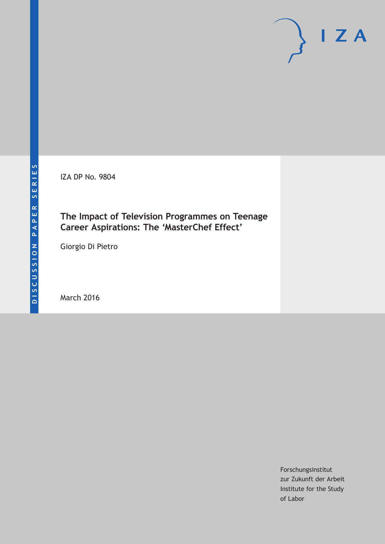IZA DP No. 9804

## **The Impact of Television Programmes on Teenage Career Aspirations: The 'MasterChef Effect'**

Giorgio Di Pietro

March 2016

Forschungsinstitut zur Zukunft der Arbeit Institute for the Study of Labor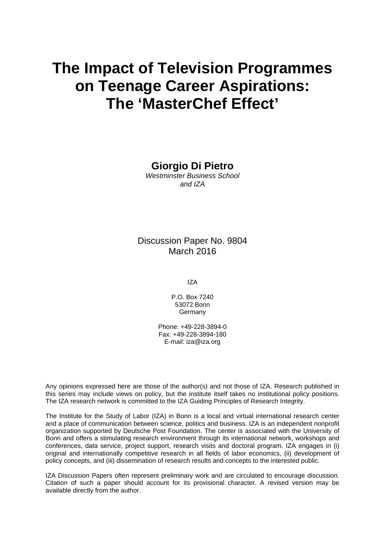# **The Impact of Television Programmes on Teenage Career Aspirations: The 'MasterChef Effect'**

**Giorgio Di Pietro** 

*Westminster Business School and IZA* 

Discussion Paper No. 9804 March 2016

IZA

P.O. Box 7240 53072 Bonn Germany

Phone: +49-228-3894-0 Fax: +49-228-3894-180 E-mail: iza@iza.org

Any opinions expressed here are those of the author(s) and not those of IZA. Research published in this series may include views on policy, but the institute itself takes no institutional policy positions. The IZA research network is committed to the IZA Guiding Principles of Research Integrity.

The Institute for the Study of Labor (IZA) in Bonn is a local and virtual international research center and a place of communication between science, politics and business. IZA is an independent nonprofit organization supported by Deutsche Post Foundation. The center is associated with the University of Bonn and offers a stimulating research environment through its international network, workshops and conferences, data service, project support, research visits and doctoral program. IZA engages in (i) original and internationally competitive research in all fields of labor economics, (ii) development of policy concepts, and (iii) dissemination of research results and concepts to the interested public.

IZA Discussion Papers often represent preliminary work and are circulated to encourage discussion. Citation of such a paper should account for its provisional character. A revised version may be available directly from the author.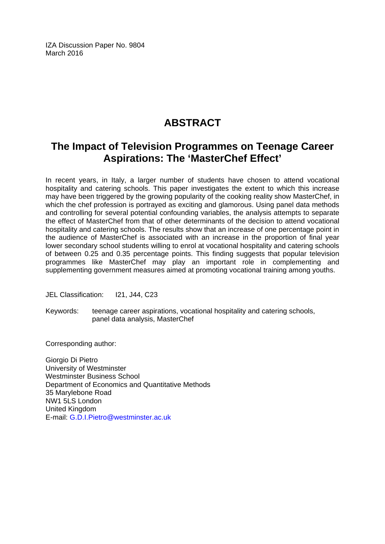IZA Discussion Paper No. 9804 March 2016

# **ABSTRACT**

## **The Impact of Television Programmes on Teenage Career Aspirations: The 'MasterChef Effect'**

In recent years, in Italy, a larger number of students have chosen to attend vocational hospitality and catering schools. This paper investigates the extent to which this increase may have been triggered by the growing popularity of the cooking reality show MasterChef, in which the chef profession is portrayed as exciting and glamorous. Using panel data methods and controlling for several potential confounding variables, the analysis attempts to separate the effect of MasterChef from that of other determinants of the decision to attend vocational hospitality and catering schools. The results show that an increase of one percentage point in the audience of MasterChef is associated with an increase in the proportion of final year lower secondary school students willing to enrol at vocational hospitality and catering schools of between 0.25 and 0.35 percentage points. This finding suggests that popular television programmes like MasterChef may play an important role in complementing and supplementing government measures aimed at promoting vocational training among youths.

JEL Classification: I21, J44, C23

Keywords: teenage career aspirations, vocational hospitality and catering schools, panel data analysis, MasterChef

Corresponding author:

Giorgio Di Pietro University of Westminster Westminster Business School Department of Economics and Quantitative Methods 35 Marylebone Road NW1 5LS London United Kingdom E-mail: G.D.I.Pietro@westminster.ac.uk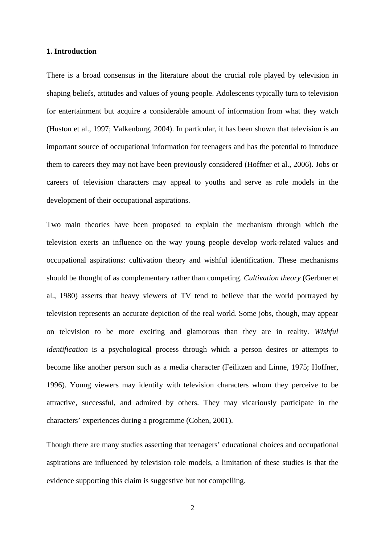#### **1. Introduction**

There is a broad consensus in the literature about the crucial role played by television in shaping beliefs, attitudes and values of young people. Adolescents typically turn to television for entertainment but acquire a considerable amount of information from what they watch (Huston et al., 1997; Valkenburg, 2004). In particular, it has been shown that television is an important source of occupational information for teenagers and has the potential to introduce them to careers they may not have been previously considered (Hoffner et al., 2006). Jobs or careers of television characters may appeal to youths and serve as role models in the development of their occupational aspirations.

Two main theories have been proposed to explain the mechanism through which the television exerts an influence on the way young people develop work-related values and occupational aspirations: cultivation theory and wishful identification. These mechanisms should be thought of as complementary rather than competing. *Cultivation theory* (Gerbner et al., 1980) asserts that heavy viewers of TV tend to believe that the world portrayed by television represents an accurate depiction of the real world. Some jobs, though, may appear on television to be more exciting and glamorous than they are in reality. *Wishful identification* is a psychological process through which a person desires or attempts to become like another person such as a media character (Feilitzen and Linne, 1975; Hoffner, 1996). Young viewers may identify with television characters whom they perceive to be attractive, successful, and admired by others. They may vicariously participate in the characters' experiences during a programme (Cohen, 2001).

Though there are many studies asserting that teenagers' educational choices and occupational aspirations are influenced by television role models, a limitation of these studies is that the evidence supporting this claim is suggestive but not compelling.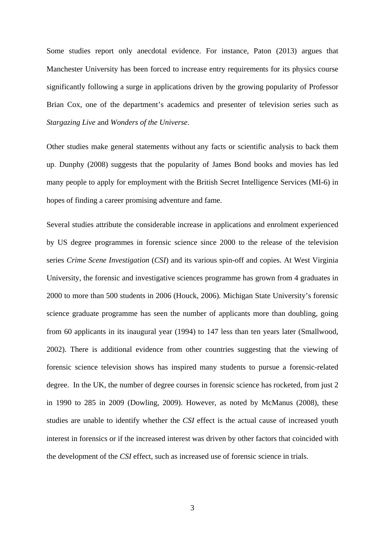Some studies report only anecdotal evidence. For instance, Paton (2013) argues that Manchester University has been forced to increase entry requirements for its physics course significantly following a surge in applications driven by the growing popularity of Professor Brian Cox, one of the department's academics and presenter of television series such as *Stargazing Live* and *Wonders of the Universe*.

Other studies make general statements without any facts or scientific analysis to back them up. Dunphy (2008) suggests that the popularity of James Bond books and movies has led many people to apply for employment with the British Secret Intelligence Services (MI-6) in hopes of finding a career promising adventure and fame.

Several studies attribute the considerable increase in applications and enrolment experienced by US degree programmes in forensic science since 2000 to the release of the television series *Crime Scene Investigation* (*CSI*) and its various spin-off and copies. At West Virginia University, the forensic and investigative sciences programme has grown from 4 graduates in 2000 to more than 500 students in 2006 (Houck, 2006). Michigan State University's forensic science graduate programme has seen the number of applicants more than doubling, going from 60 applicants in its inaugural year (1994) to 147 less than ten years later (Smallwood, 2002). There is additional evidence from other countries suggesting that the viewing of forensic science television shows has inspired many students to pursue a forensic-related degree. In the UK, the number of degree courses in forensic science has rocketed, from just 2 in 1990 to 285 in 2009 (Dowling, 2009). However, as noted by McManus (2008), these studies are unable to identify whether the *CSI* effect is the actual cause of increased youth interest in forensics or if the increased interest was driven by other factors that coincided with the development of the *CSI* effect, such as increased use of forensic science in trials.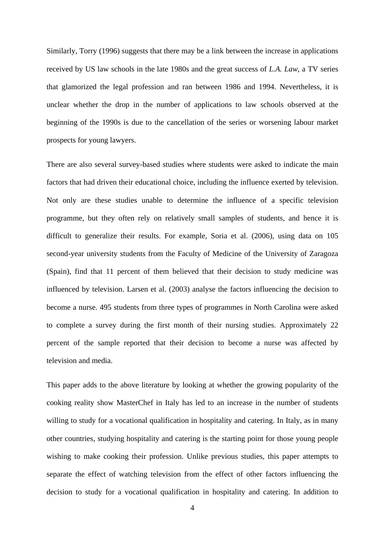Similarly, Torry (1996) suggests that there may be a link between the increase in applications received by US law schools in the late 1980s and the great success of *L.A. Law*, a TV series that glamorized the legal profession and ran between 1986 and 1994. Nevertheless, it is unclear whether the drop in the number of applications to law schools observed at the beginning of the 1990s is due to the cancellation of the series or worsening labour market prospects for young lawyers.

There are also several survey-based studies where students were asked to indicate the main factors that had driven their educational choice, including the influence exerted by television. Not only are these studies unable to determine the influence of a specific television programme, but they often rely on relatively small samples of students, and hence it is difficult to generalize their results. For example, Soria et al. (2006), using data on 105 second-year university students from the Faculty of Medicine of the University of Zaragoza (Spain), find that 11 percent of them believed that their decision to study medicine was influenced by television. Larsen et al. (2003) analyse the factors influencing the decision to become a nurse. 495 students from three types of programmes in North Carolina were asked to complete a survey during the first month of their nursing studies. Approximately 22 percent of the sample reported that their decision to become a nurse was affected by television and media.

This paper adds to the above literature by looking at whether the growing popularity of the cooking reality show MasterChef in Italy has led to an increase in the number of students willing to study for a vocational qualification in hospitality and catering. In Italy, as in many other countries, studying hospitality and catering is the starting point for those young people wishing to make cooking their profession. Unlike previous studies, this paper attempts to separate the effect of watching television from the effect of other factors influencing the decision to study for a vocational qualification in hospitality and catering. In addition to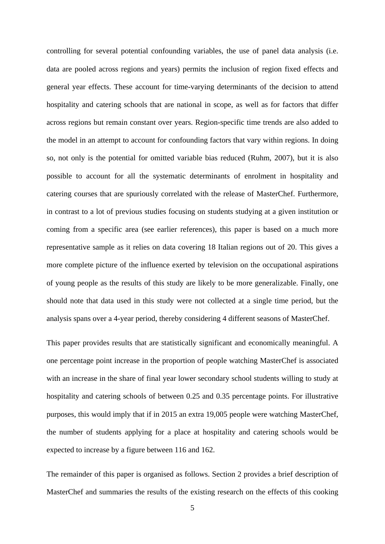controlling for several potential confounding variables, the use of panel data analysis (i.e. data are pooled across regions and years) permits the inclusion of region fixed effects and general year effects. These account for time-varying determinants of the decision to attend hospitality and catering schools that are national in scope, as well as for factors that differ across regions but remain constant over years. Region-specific time trends are also added to the model in an attempt to account for confounding factors that vary within regions. In doing so, not only is the potential for omitted variable bias reduced (Ruhm, 2007), but it is also possible to account for all the systematic determinants of enrolment in hospitality and catering courses that are spuriously correlated with the release of MasterChef. Furthermore, in contrast to a lot of previous studies focusing on students studying at a given institution or coming from a specific area (see earlier references), this paper is based on a much more representative sample as it relies on data covering 18 Italian regions out of 20. This gives a more complete picture of the influence exerted by television on the occupational aspirations of young people as the results of this study are likely to be more generalizable. Finally, one should note that data used in this study were not collected at a single time period, but the analysis spans over a 4-year period, thereby considering 4 different seasons of MasterChef.

This paper provides results that are statistically significant and economically meaningful. A one percentage point increase in the proportion of people watching MasterChef is associated with an increase in the share of final year lower secondary school students willing to study at hospitality and catering schools of between 0.25 and 0.35 percentage points. For illustrative purposes, this would imply that if in 2015 an extra 19,005 people were watching MasterChef, the number of students applying for a place at hospitality and catering schools would be expected to increase by a figure between 116 and 162.

The remainder of this paper is organised as follows. Section 2 provides a brief description of MasterChef and summaries the results of the existing research on the effects of this cooking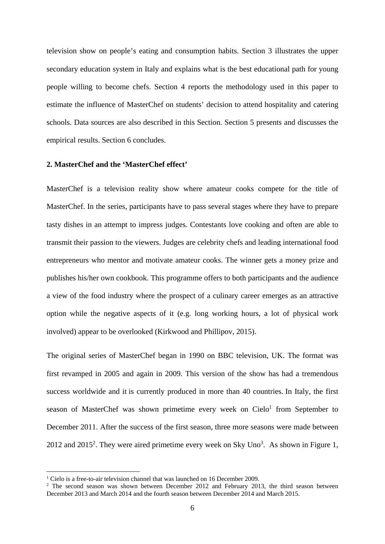television show on people's eating and consumption habits. Section 3 illustrates the upper secondary education system in Italy and explains what is the best educational path for young people willing to become chefs. Section 4 reports the methodology used in this paper to estimate the influence of MasterChef on students' decision to attend hospitality and catering schools. Data sources are also described in this Section. Section 5 presents and discusses the empirical results. Section 6 concludes.

#### **2. MasterChef and the 'MasterChef effect'**

MasterChef is a television reality show where amateur cooks compete for the title of MasterChef. In the series, participants have to pass several stages where they have to prepare tasty dishes in an attempt to impress judges. Contestants love cooking and often are able to transmit their passion to the viewers. Judges are celebrity chefs and leading international food entrepreneurs who mentor and motivate amateur cooks. The winner gets a money prize and publishes his/her own cookbook. This programme offers to both participants and the audience a view of the food industry where the prospect of a culinary career emerges as an attractive option while the negative aspects of it (e.g. long working hours, a lot of physical work involved) appear to be overlooked (Kirkwood and Phillipov, 2015).

The original series of MasterChef began in 1990 on BBC television, UK. The format was first revamped in 2005 and again in 2009. This version of the show has had a tremendous success worldwide and it is currently produced in more than 40 countries. In Italy, the first season of MasterChef was shown primetime every week on Cielo<sup>1</sup> from September to December 2011. After the success of the first season, three more seasons were made between 2012 and 2015<sup>2</sup>. They were aired primetime every week on Sky Uno<sup>3</sup>. As shown in Figure 1,

<sup>&</sup>lt;sup>1</sup> Cielo is a free-to-air television channel that was launched on 16 December 2009.<br><sup>2</sup> The second season was shown between December 2012 and Eebruary 201

 $2$  The second season was shown between December 2012 and February 2013, the third season between December 2013 and March 2014 and the fourth season between December 2014 and March 2015.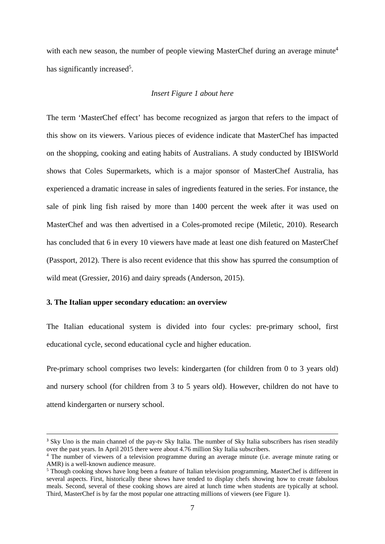with each new season, the number of people viewing MasterChef during an average minute<sup>4</sup> has significantly increased<sup>5</sup>.

#### *Insert Figure 1 about here*

The term 'MasterChef effect' has become recognized as jargon that refers to the impact of this show on its viewers. Various pieces of evidence indicate that MasterChef has impacted on the shopping, cooking and eating habits of Australians. A study conducted by IBISWorld shows that Coles Supermarkets, which is a major sponsor of MasterChef Australia, has experienced a dramatic increase in sales of ingredients featured in the series. For instance, the sale of pink ling fish raised by more than 1400 percent the week after it was used on MasterChef and was then advertised in a Coles-promoted recipe (Miletic, 2010). Research has concluded that 6 in every 10 viewers have made at least one dish featured on MasterChef (Passport, 2012). There is also recent evidence that this show has spurred the consumption of wild meat (Gressier, 2016) and dairy spreads (Anderson, 2015).

#### **3. The Italian upper secondary education: an overview**

The Italian educational system is divided into four cycles: pre-primary school, first educational cycle, second educational cycle and higher education.

Pre-primary school comprises two levels: kindergarten (for children from 0 to 3 years old) and nursery school (for children from 3 to 5 years old). However, children do not have to attend kindergarten or nursery school.

<sup>&</sup>lt;u> 1989 - Johann Barn, amerikansk politiker (d. 1989)</u> <sup>3</sup> Sky Uno is the main channel of the pay-tv Sky Italia. The number of Sky Italia subscribers has risen steadily over the past years. In April 2015 there were about 4.76 million Sky Italia subscribers. 4

The number of viewers of a television programme during an average minute (i.e. average minute rating or AMR) is a well-known audience measure.

<sup>&</sup>lt;sup>5</sup> Though cooking shows have long been a feature of Italian television programming, MasterChef is different in several aspects. First, historically these shows have tended to display chefs showing how to create fabulous meals. Second, several of these cooking shows are aired at lunch time when students are typically at school. Third, MasterChef is by far the most popular one attracting millions of viewers (see Figure 1).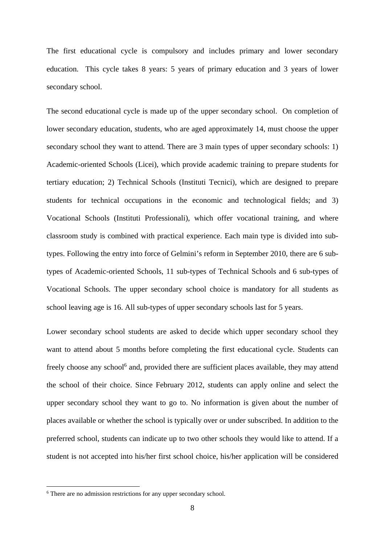The first educational cycle is compulsory and includes primary and lower secondary education. This cycle takes 8 years: 5 years of primary education and 3 years of lower secondary school.

The second educational cycle is made up of the upper secondary school. On completion of lower secondary education, students, who are aged approximately 14, must choose the upper secondary school they want to attend. There are 3 main types of upper secondary schools: 1) Academic-oriented Schools (Licei), which provide academic training to prepare students for tertiary education; 2) Technical Schools (Instituti Tecnici), which are designed to prepare students for technical occupations in the economic and technological fields; and 3) Vocational Schools (Instituti Professionali), which offer vocational training, and where classroom study is combined with practical experience. Each main type is divided into subtypes. Following the entry into force of Gelmini's reform in September 2010, there are 6 subtypes of Academic-oriented Schools, 11 sub-types of Technical Schools and 6 sub-types of Vocational Schools. The upper secondary school choice is mandatory for all students as school leaving age is 16. All sub-types of upper secondary schools last for 5 years.

Lower secondary school students are asked to decide which upper secondary school they want to attend about 5 months before completing the first educational cycle. Students can freely choose any school<sup>6</sup> and, provided there are sufficient places available, they may attend the school of their choice. Since February 2012, students can apply online and select the upper secondary school they want to go to. No information is given about the number of places available or whether the school is typically over or under subscribed. In addition to the preferred school, students can indicate up to two other schools they would like to attend. If a student is not accepted into his/her first school choice, his/her application will be considered

<sup>6</sup> There are no admission restrictions for any upper secondary school.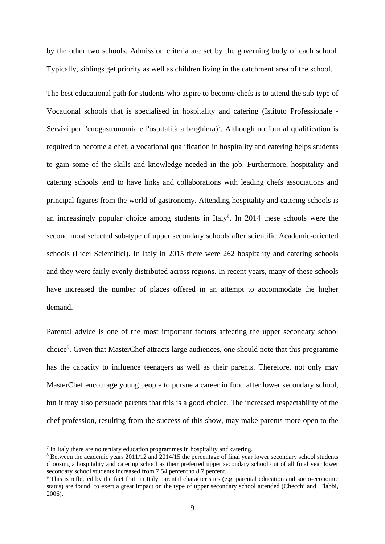by the other two schools. Admission criteria are set by the governing body of each school. Typically, siblings get priority as well as children living in the catchment area of the school.

The best educational path for students who aspire to become chefs is to attend the sub-type of Vocational schools that is specialised in hospitality and catering (Istituto Professionale - Servizi per l'enogastronomia e l'ospitalità alberghiera)<sup>7</sup>. Although no formal qualification is required to become a chef, a vocational qualification in hospitality and catering helps students to gain some of the skills and knowledge needed in the job. Furthermore, hospitality and catering schools tend to have links and collaborations with leading chefs associations and principal figures from the world of gastronomy. Attending hospitality and catering schools is an increasingly popular choice among students in Italy<sup>8</sup>. In 2014 these schools were the second most selected sub-type of upper secondary schools after scientific Academic-oriented schools (Licei Scientifici). In Italy in 2015 there were 262 hospitality and catering schools and they were fairly evenly distributed across regions. In recent years, many of these schools have increased the number of places offered in an attempt to accommodate the higher demand.

Parental advice is one of the most important factors affecting the upper secondary school choice<sup>9</sup>. Given that MasterChef attracts large audiences, one should note that this programme has the capacity to influence teenagers as well as their parents. Therefore, not only may MasterChef encourage young people to pursue a career in food after lower secondary school, but it may also persuade parents that this is a good choice. The increased respectability of the chef profession, resulting from the success of this show, may make parents more open to the

 $^7$  In Italy there are no tertiary education programmes in hospitality and catering.<br><sup>8</sup> Between the academic years 2011/12 and 2014/15 the perceptage of final year.

<sup>&</sup>lt;sup>8</sup> Between the academic years 2011/12 and 2014/15 the percentage of final year lower secondary school students choosing a hospitality and catering school as their preferred upper secondary school out of all final year lower secondary school students increased from 7.54 percent to 8.7 percent.

<sup>&</sup>lt;sup>9</sup> This is reflected by the fact that in Italy parental characteristics (e.g. parental education and socio-economic status) are found to exert a great impact on the type of upper secondary school attended (Checchi and Flabbi, 2006).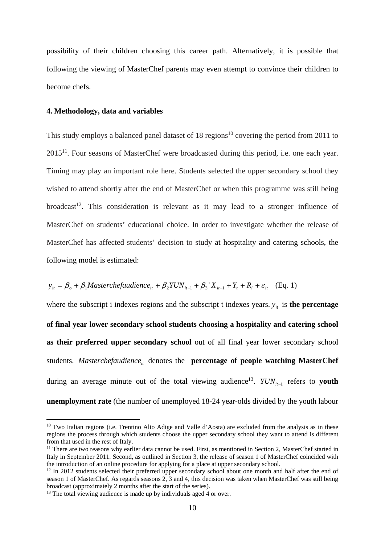possibility of their children choosing this career path. Alternatively, it is possible that following the viewing of MasterChef parents may even attempt to convince their children to become chefs.

#### **4. Methodology, data and variables**

This study employs a balanced panel dataset of  $18$  regions<sup>10</sup> covering the period from 2011 to 201511. Four seasons of MasterChef were broadcasted during this period, i.e. one each year. Timing may play an important role here. Students selected the upper secondary school they wished to attend shortly after the end of MasterChef or when this programme was still being broadcast<sup>12</sup>. This consideration is relevant as it may lead to a stronger influence of MasterChef on students' educational choice. In order to investigate whether the release of MasterChef has affected students' decision to study at hospitality and catering schools, the following model is estimated:

$$
y_{it} = \beta_o + \beta_1 Masterchefaudience_{it} + \beta_2 YUN_{it-1} + \beta_3' X_{it-1} + Y_t + R_i + \varepsilon_{it} \quad (Eq. 1)
$$

where the subscript i indexes regions and the subscript t indexes years.  $y_{it}$  is the percentage **of final year lower secondary school students choosing a hospitality and catering school as their preferred upper secondary school** out of all final year lower secondary school students. *Masterchefaudience<sub>it</sub>* denotes the **percentage of people watching MasterChef** during an average minute out of the total viewing audience<sup>13</sup>.  $YUN_{i-1}$  refers to **youth unemployment rate** (the number of unemployed 18-24 year-olds divided by the youth labour

<sup>&</sup>lt;sup>10</sup> Two Italian regions (i.e. Trentino Alto Adige and Valle d'Aosta) are excluded from the analysis as in these regions the process through which students choose the upper secondary school they want to attend is different from that used in the rest of Italy.

<sup>&</sup>lt;sup>11</sup> There are two reasons why earlier data cannot be used. First, as mentioned in Section 2, MasterChef started in Italy in September 2011. Second, as outlined in Section 3, the release of season 1 of MasterChef coincided with the introduction of an online procedure for applying for a place at upper secondary school.

 $12$  In 2012 students selected their preferred upper secondary school about one month and half after the end of season 1 of MasterChef. As regards seasons 2, 3 and 4, this decision was taken when MasterChef was still being broadcast (approximately 2 months after the start of the series).

<sup>&</sup>lt;sup>13</sup> The total viewing audience is made up by individuals aged 4 or over.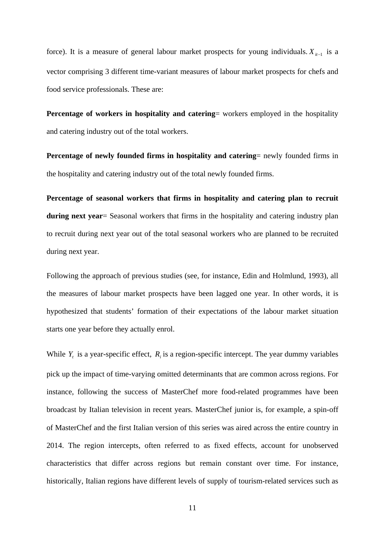force). It is a measure of general labour market prospects for young individuals.  $X_{i-1}$  is a vector comprising 3 different time-variant measures of labour market prospects for chefs and food service professionals. These are:

**Percentage of workers in hospitality and catering=** workers employed in the hospitality and catering industry out of the total workers.

**Percentage of newly founded firms in hospitality and catering= newly founded firms in** the hospitality and catering industry out of the total newly founded firms.

**Percentage of seasonal workers that firms in hospitality and catering plan to recruit during next year**= Seasonal workers that firms in the hospitality and catering industry plan to recruit during next year out of the total seasonal workers who are planned to be recruited during next year.

Following the approach of previous studies (see, for instance, Edin and Holmlund, 1993), all the measures of labour market prospects have been lagged one year. In other words, it is hypothesized that students' formation of their expectations of the labour market situation starts one year before they actually enrol.

While *Y*, is a year-specific effect, *R<sub>i</sub>* is a region-specific intercept. The year dummy variables pick up the impact of time-varying omitted determinants that are common across regions. For instance, following the success of MasterChef more food-related programmes have been broadcast by Italian television in recent years. MasterChef junior is, for example, a spin-off of MasterChef and the first Italian version of this series was aired across the entire country in 2014. The region intercepts, often referred to as fixed effects, account for unobserved characteristics that differ across regions but remain constant over time. For instance, historically, Italian regions have different levels of supply of tourism-related services such as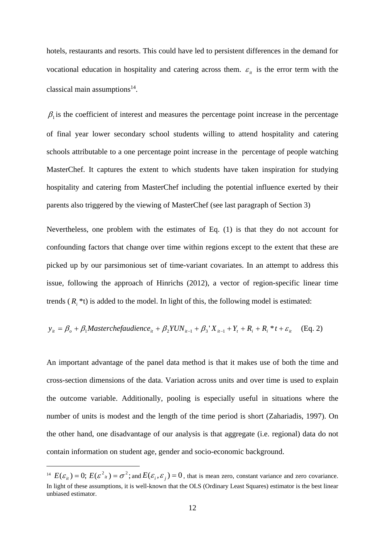hotels, restaurants and resorts. This could have led to persistent differences in the demand for vocational education in hospitality and catering across them.  $\varepsilon$ <sub>*i*</sub> is the error term with the classical main assumptions $14$ .

 $\beta_1$  is the coefficient of interest and measures the percentage point increase in the percentage of final year lower secondary school students willing to attend hospitality and catering schools attributable to a one percentage point increase in thepercentage of people watching MasterChef. It captures the extent to which students have taken inspiration for studying hospitality and catering from MasterChef including the potential influence exerted by their parents also triggered by the viewing of MasterChef (see last paragraph of Section 3)

Nevertheless, one problem with the estimates of Eq. (1) is that they do not account for confounding factors that change over time within regions except to the extent that these are picked up by our parsimonious set of time-variant covariates. In an attempt to address this issue, following the approach of Hinrichs (2012), a vector of region-specific linear time trends  $(R, *t)$  is added to the model. In light of this, the following model is estimated:

$$
y_{it} = \beta_o + \beta_1 Masterchefaudience_{it} + \beta_2 YUN_{it-1} + \beta_3 X_{it-1} + Y_t + R_i + R_i * t + \varepsilon_{it} \quad (Eq. 2)
$$

An important advantage of the panel data method is that it makes use of both the time and cross-section dimensions of the data. Variation across units and over time is used to explain the outcome variable. Additionally, pooling is especially useful in situations where the number of units is modest and the length of the time period is short (Zahariadis, 1997). On the other hand, one disadvantage of our analysis is that aggregate (i.e. regional) data do not contain information on student age, gender and socio-economic background.

<sup>&</sup>lt;sup>14</sup>  $E(\varepsilon_{ii}) = 0$ ;  $E(\varepsilon_{ii}^2) = \sigma^2$ ; and  $E(\varepsilon_i, \varepsilon_i) = 0$ , that is mean zero, constant variance and zero covariance. In light of these assumptions, it is well-known that the OLS (Ordinary Least Squares) estimator is the best linear unbiased estimator.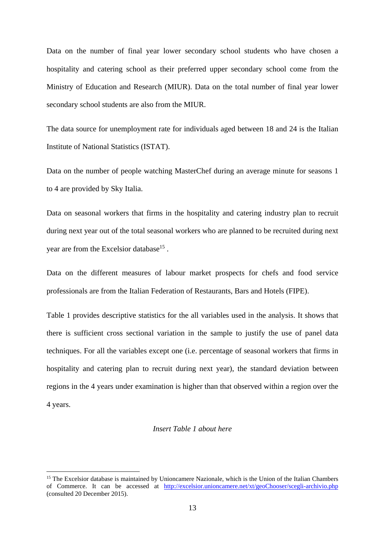Data on the number of final year lower secondary school students who have chosen a hospitality and catering school as their preferred upper secondary school come from the Ministry of Education and Research (MIUR). Data on the total number of final year lower secondary school students are also from the MIUR.

The data source for unemployment rate for individuals aged between 18 and 24 is the Italian Institute of National Statistics (ISTAT).

Data on the number of people watching MasterChef during an average minute for seasons 1 to 4 are provided by Sky Italia.

Data on seasonal workers that firms in the hospitality and catering industry plan to recruit during next year out of the total seasonal workers who are planned to be recruited during next year are from the Excelsior database<sup>15</sup>.

Data on the different measures of labour market prospects for chefs and food service professionals are from the Italian Federation of Restaurants, Bars and Hotels (FIPE).

Table 1 provides descriptive statistics for the all variables used in the analysis. It shows that there is sufficient cross sectional variation in the sample to justify the use of panel data techniques. For all the variables except one (i.e. percentage of seasonal workers that firms in hospitality and catering plan to recruit during next year), the standard deviation between regions in the 4 years under examination is higher than that observed within a region over the 4 years.

#### *Insert Table 1 about here*

<sup>&</sup>lt;sup>15</sup> The Excelsior database is maintained by Unioncamere Nazionale, which is the Union of the Italian Chambers of Commerce. It can be accessed at http://excelsior.unioncamere.net/xt/geoChooser/scegli-archivio.php (consulted 20 December 2015).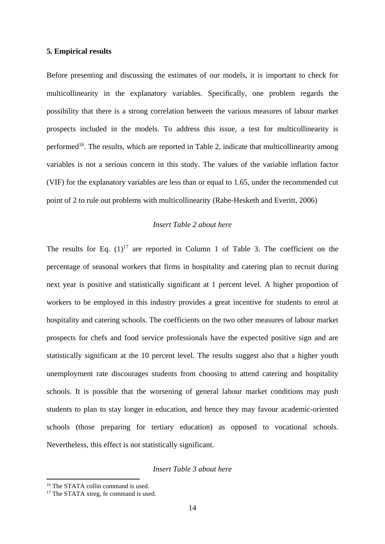#### **5. Empirical results**

Before presenting and discussing the estimates of our models, it is important to check for multicollinearity in the explanatory variables. Specifically, one problem regards the possibility that there is a strong correlation between the various measures of labour market prospects included in the models. To address this issue, a test for multicollinearity is performed<sup>16</sup>. The results, which are reported in Table 2, indicate that multicollinearity among variables is not a serious concern in this study. The values of the variable inflation factor (VIF) for the explanatory variables are less than or equal to 1.65, under the recommended cut point of 2 to rule out problems with multicollinearity (Rabe-Hesketh and Everitt, 2006)

#### *Insert Table 2 about here*

The results for Eq.  $(1)^{17}$  are reported in Column 1 of Table 3. The coefficient on the percentage of seasonal workers that firms in hospitality and catering plan to recruit during next year is positive and statistically significant at 1 percent level. A higher proportion of workers to be employed in this industry provides a great incentive for students to enrol at hospitality and catering schools. The coefficients on the two other measures of labour market prospects for chefs and food service professionals have the expected positive sign and are statistically significant at the 10 percent level. The results suggest also that a higher youth unemployment rate discourages students from choosing to attend catering and hospitality schools. It is possible that the worsening of general labour market conditions may push students to plan to stay longer in education, and hence they may favour academic-oriented schools (those preparing for tertiary education) as opposed to vocational schools. Nevertheless, this effect is not statistically significant.

#### *Insert Table 3 about here*

<sup>16</sup> The STATA collin command is used.

<sup>&</sup>lt;sup>17</sup> The STATA xtreg, fe command is used.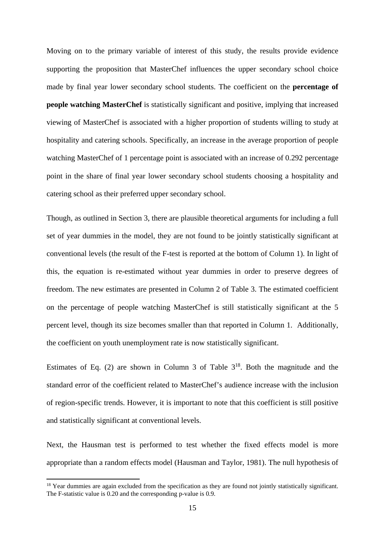Moving on to the primary variable of interest of this study, the results provide evidence supporting the proposition that MasterChef influences the upper secondary school choice made by final year lower secondary school students. The coefficient on the **percentage of people watching MasterChef** is statistically significant and positive, implying that increased viewing of MasterChef is associated with a higher proportion of students willing to study at hospitality and catering schools. Specifically, an increase in the average proportion of people watching MasterChef of 1 percentage point is associated with an increase of 0.292 percentage point in the share of final year lower secondary school students choosing a hospitality and catering school as their preferred upper secondary school.

Though, as outlined in Section 3, there are plausible theoretical arguments for including a full set of year dummies in the model, they are not found to be jointly statistically significant at conventional levels (the result of the F-test is reported at the bottom of Column 1). In light of this, the equation is re-estimated without year dummies in order to preserve degrees of freedom. The new estimates are presented in Column 2 of Table 3. The estimated coefficient on the percentage of people watching MasterChef is still statistically significant at the 5 percent level, though its size becomes smaller than that reported in Column 1. Additionally, the coefficient on youth unemployment rate is now statistically significant.

Estimates of Eq. (2) are shown in Column 3 of Table  $3^{18}$ . Both the magnitude and the standard error of the coefficient related to MasterChef's audience increase with the inclusion of region-specific trends. However, it is important to note that this coefficient is still positive and statistically significant at conventional levels.

Next, the Hausman test is performed to test whether the fixed effects model is more appropriate than a random effects model (Hausman and Taylor, 1981). The null hypothesis of

 $18$  Year dummies are again excluded from the specification as they are found not jointly statistically significant. The F-statistic value is 0.20 and the corresponding p-value is 0.9.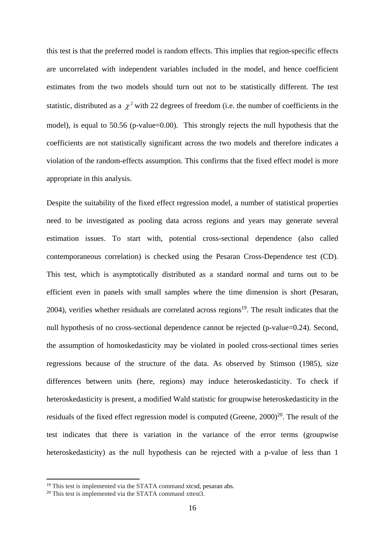this test is that the preferred model is random effects. This implies that region-specific effects are uncorrelated with independent variables included in the model, and hence coefficient estimates from the two models should turn out not to be statistically different. The test statistic, distributed as a  $\chi^2$  with 22 degrees of freedom (i.e. the number of coefficients in the model), is equal to 50.56 (p-value=0.00). This strongly rejects the null hypothesis that the coefficients are not statistically significant across the two models and therefore indicates a violation of the random-effects assumption. This confirms that the fixed effect model is more appropriate in this analysis.

Despite the suitability of the fixed effect regression model, a number of statistical properties need to be investigated as pooling data across regions and years may generate several estimation issues. To start with, potential cross-sectional dependence (also called contemporaneous correlation) is checked using the Pesaran Cross-Dependence test (CD). This test, which is asymptotically distributed as a standard normal and turns out to be efficient even in panels with small samples where the time dimension is short (Pesaran,  $2004$ ), verifies whether residuals are correlated across regions<sup>19</sup>. The result indicates that the null hypothesis of no cross-sectional dependence cannot be rejected (p-value=0.24). Second, the assumption of homoskedasticity may be violated in pooled cross-sectional times series regressions because of the structure of the data. As observed by Stimson (1985), size differences between units (here, regions) may induce heteroskedasticity. To check if heteroskedasticity is present, a modified Wald statistic for groupwise heteroskedasticity in the residuals of the fixed effect regression model is computed (Greene,  $2000)^{20}$ . The result of the test indicates that there is variation in the variance of the error terms (groupwise heteroskedasticity) as the null hypothesis can be rejected with a p-value of less than 1

<sup>&</sup>lt;sup>19</sup> This test is implemented via the STATA command xtcsd, pesaran abs.

<sup>&</sup>lt;sup>20</sup> This test is implemented via the STATA command xttest3.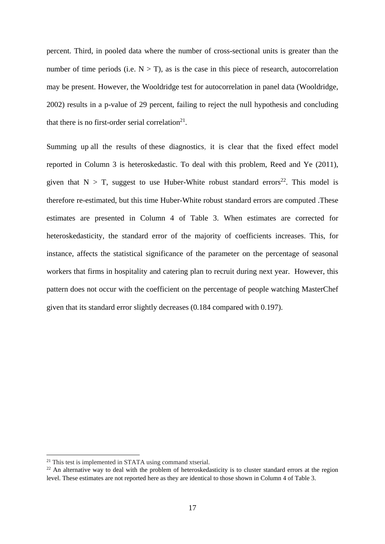percent. Third, in pooled data where the number of cross-sectional units is greater than the number of time periods (i.e.  $N > T$ ), as is the case in this piece of research, autocorrelation may be present. However, the Wooldridge test for autocorrelation in panel data (Wooldridge, 2002) results in a p-value of 29 percent, failing to reject the null hypothesis and concluding that there is no first-order serial correlation<sup>21</sup>.

Summing up all the results of these diagnostics, it is clear that the fixed effect model reported in Column 3 is heteroskedastic. To deal with this problem, Reed and Ye (2011), given that  $N > T$ , suggest to use Huber-White robust standard errors<sup>22</sup>. This model is therefore re-estimated, but this time Huber-White robust standard errors are computed .These estimates are presented in Column 4 of Table 3. When estimates are corrected for heteroskedasticity, the standard error of the majority of coefficients increases. This, for instance, affects the statistical significance of the parameter on the percentage of seasonal workers that firms in hospitality and catering plan to recruit during next year. However, this pattern does not occur with the coefficient on the percentage of people watching MasterChef given that its standard error slightly decreases (0.184 compared with 0.197).

<sup>&</sup>lt;sup>21</sup> This test is implemented in STATA using command xtserial.

<sup>&</sup>lt;sup>22</sup> An alternative way to deal with the problem of heteroskedasticity is to cluster standard errors at the region level. These estimates are not reported here as they are identical to those shown in Column 4 of Table 3.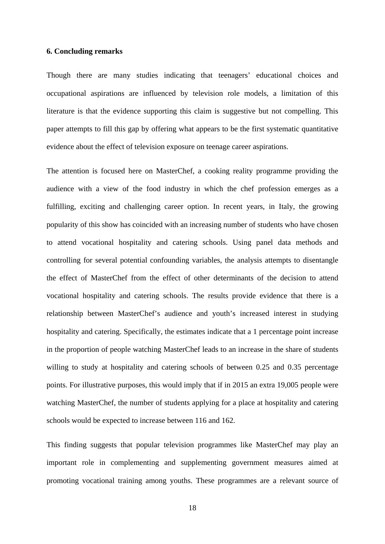#### **6. Concluding remarks**

Though there are many studies indicating that teenagers' educational choices and occupational aspirations are influenced by television role models, a limitation of this literature is that the evidence supporting this claim is suggestive but not compelling. This paper attempts to fill this gap by offering what appears to be the first systematic quantitative evidence about the effect of television exposure on teenage career aspirations.

The attention is focused here on MasterChef, a cooking reality programme providing the audience with a view of the food industry in which the chef profession emerges as a fulfilling, exciting and challenging career option. In recent years, in Italy, the growing popularity of this show has coincided with an increasing number of students who have chosen to attend vocational hospitality and catering schools. Using panel data methods and controlling for several potential confounding variables, the analysis attempts to disentangle the effect of MasterChef from the effect of other determinants of the decision to attend vocational hospitality and catering schools. The results provide evidence that there is a relationship between MasterChef's audience and youth's increased interest in studying hospitality and catering. Specifically, the estimates indicate that a 1 percentage point increase in the proportion of people watching MasterChef leads to an increase in the share of students willing to study at hospitality and catering schools of between 0.25 and 0.35 percentage points. For illustrative purposes, this would imply that if in 2015 an extra 19,005 people were watching MasterChef, the number of students applying for a place at hospitality and catering schools would be expected to increase between 116 and 162.

This finding suggests that popular television programmes like MasterChef may play an important role in complementing and supplementing government measures aimed at promoting vocational training among youths. These programmes are a relevant source of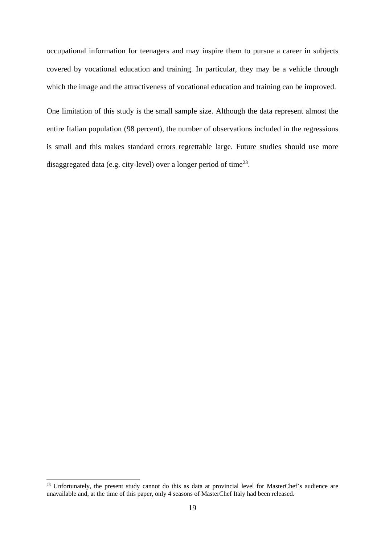occupational information for teenagers and may inspire them to pursue a career in subjects covered by vocational education and training. In particular, they may be a vehicle through which the image and the attractiveness of vocational education and training can be improved.

One limitation of this study is the small sample size. Although the data represent almost the entire Italian population (98 percent), the number of observations included in the regressions is small and this makes standard errors regrettable large. Future studies should use more disaggregated data (e.g. city-level) over a longer period of time<sup>23</sup>.

<sup>&</sup>lt;sup>23</sup> Unfortunately, the present study cannot do this as data at provincial level for MasterChef's audience are unavailable and, at the time of this paper, only 4 seasons of MasterChef Italy had been released.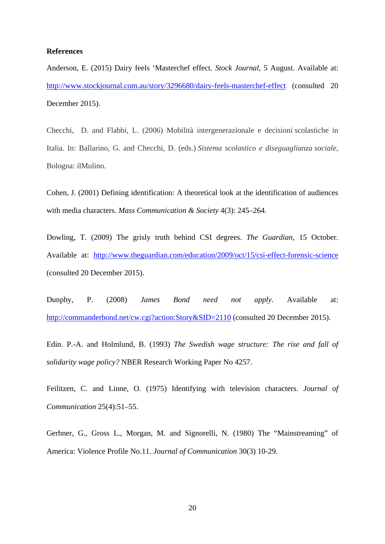#### **References**

Anderson, E. (2015) Dairy feels 'Masterchef effect. *Stock Journal*, 5 August. Available at: http://www.stockjournal.com.au/story/3296680/dairy-feels-masterchef-effect (consulted 20 December 2015).

Checchi, D. and Flabbi, L. (2006) Mobilità intergenerazionale e decisioni scolastiche in Italia. In: Ballarino, G. and Checchi, D. (eds.) *Sistema scolastico e diseguaglianza sociale*, Bologna: ilMulino.

Cohen, J. (2001) Defining identification: A theoretical look at the identification of audiences with media characters. *Mass Communication & Society* 4(3): 245–264.

Dowling, T. (2009) The grisly truth behind CSI degrees. *The Guardian*, 15 October. Available at: http://www.theguardian.com/education/2009/oct/15/csi-effect-forensic-science (consulted 20 December 2015).

Dunphy, P. (2008) *James Bond need not apply*. Available at: http://commanderbond.net/cw.cgi?action:Story&SID=2110 (consulted 20 December 2015).

Edin. P.-A. and Holmlund, B. (1993) *The Swedish wage structure: The rise and fall of solidarity wage policy?* NBER Research Working Paper No 4257.

Feilitzen, C. and Linne, O. (1975) Identifying with television characters. *Journal of Communication* 25(4):51–55.

Gerbner, G., Gross L., Morgan, M. and Signorelli, N. (1980) The "Mainstreaming" of America: Violence Profile No.11. *Journal of Communication* 30(3) 10-29.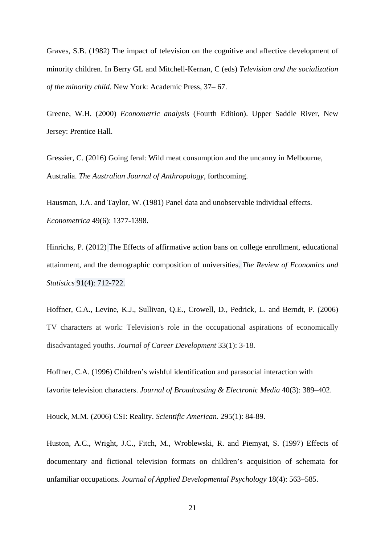Graves, S.B. (1982) The impact of television on the cognitive and affective development of minority children. In Berry GL and Mitchell-Kernan, C (eds) *Television and the socialization of the minority child*. New York: Academic Press, 37– 67.

Greene, W.H. (2000) *Econometric analysis* (Fourth Edition). Upper Saddle River, New Jersey: Prentice Hall.

Gressier, C. (2016) Going feral: Wild meat consumption and the uncanny in Melbourne, Australia. *The Australian Journal of Anthropology*, forthcoming.

Hausman, J.A. and Taylor, W. (1981) Panel data and unobservable individual effects. *Econometrica* 49(6): 1377-1398.

Hinrichs, P. (2012) The Effects of affirmative action bans on college enrollment, educational attainment, and the demographic composition of universities. *The Review of Economics and Statistics* 91(4): 712-722.

Hoffner, C.A., Levine, K.J., Sullivan, Q.E., Crowell, D., Pedrick, L. and Berndt, P. (2006) TV characters at work: Television's role in the occupational aspirations of economically disadvantaged youths. *Journal of Career Development* 33(1): 3-18.

Hoffner, C.A. (1996) Children's wishful identification and parasocial interaction with favorite television characters. *Journal of Broadcasting & Electronic Media* 40(3): 389–402.

Houck, M.M. (2006) CSI: Reality. *Scientific American*. 295(1): 84-89.

Huston, A.C., Wright, J.C., Fitch, M., Wroblewski, R. and Piemyat, S. (1997) Effects of documentary and fictional television formats on children's acquisition of schemata for unfamiliar occupations. *Journal of Applied Developmental Psychology* 18(4): 563–585.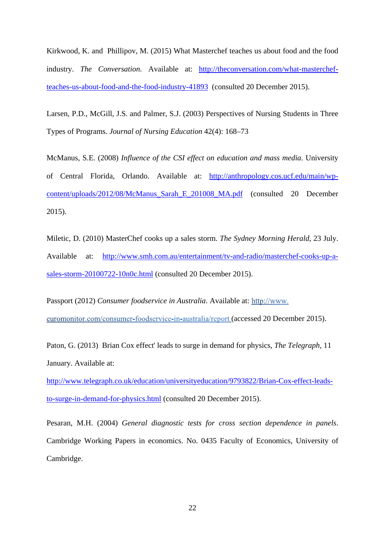Kirkwood, K. and Phillipov, M. (2015) What Masterchef teaches us about food and the food industry. *The Conversation*. Available at: http://theconversation.com/what-masterchefteaches-us-about-food-and-the-food-industry-41893 (consulted 20 December 2015).

Larsen, P.D., McGill, J.S. and Palmer, S.J. (2003) Perspectives of Nursing Students in Three Types of Programs. *Journal of Nursing Education* 42(4): 168–73

McManus, S.E. (2008) *Influence of the CSI effect on education and mass media*. University of Central Florida, Orlando. Available at: http://anthropology.cos.ucf.edu/main/wpcontent/uploads/2012/08/McManus\_Sarah\_E\_201008\_MA.pdf (consulted 20 December 2015).

Miletic, D. (2010) MasterChef cooks up a sales storm. *The Sydney Morning Herald*, 23 July. Available at: http://www.smh.com.au/entertainment/tv-and-radio/masterchef-cooks-up-asales-storm-20100722-10n0c.html (consulted 20 December 2015).

Passport (2012) *Consumer foodservice in Australia*. Available at: http://www. euromonitor.com/consumer-foodservice-in-australia/report (accessed 20 December 2015).

Paton, G. (2013) Brian Cox effect' leads to surge in demand for physics, *The Telegraph*, 11 January. Available at:

http://www.telegraph.co.uk/education/universityeducation/9793822/Brian-Cox-effect-leadsto-surge-in-demand-for-physics.html (consulted 20 December 2015).

Pesaran, M.H. (2004) *General diagnostic tests for cross section dependence in panels*. Cambridge Working Papers in economics. No. 0435 Faculty of Economics, University of Cambridge.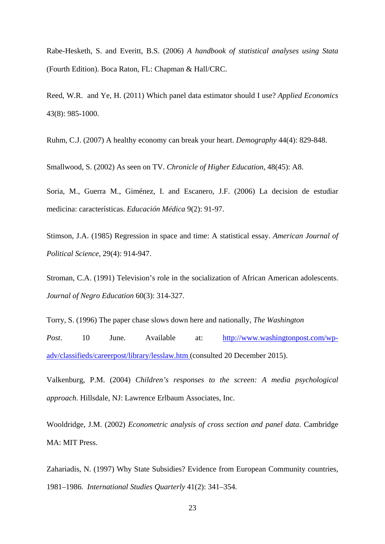Rabe-Hesketh, S. and Everitt, B.S. (2006) *A handbook of statistical analyses using Stata* (Fourth Edition). Boca Raton, FL: Chapman & Hall/CRC.

Reed, W.R. and Ye, H. (2011) Which panel data estimator should I use? *Applied Economics* 43(8): 985-1000.

Ruhm, C.J. (2007) A healthy economy can break your heart. *Demography* 44(4): 829-848.

Smallwood, S. (2002) As seen on TV. *Chronicle of Higher Education*, 48(45): A8.

Soria, M., Guerra M., Giménez, I. and Escanero, J.F. (2006) La decision de estudiar medicina: características. *Educación Médica* 9(2): 91-97.

Stimson, J.A. (1985) Regression in space and time: A statistical essay. *American Journal of Political Science*, 29(4): 914-947.

Stroman, C.A. (1991) Television's role in the socialization of African American adolescents. *Journal of Negro Education* 60(3): 314-327.

Torry, S. (1996) The paper chase slows down here and nationally, *The Washington* 

*Post*. 10 June. Available at: http://www.washingtonpost.com/wpadv/classifieds/careerpost/library/lesslaw.htm (consulted 20 December 2015).

Valkenburg, P.M. (2004) *Children's responses to the screen: A media psychological approach*. Hillsdale, NJ: Lawrence Erlbaum Associates, Inc.

Wooldridge, J.M. (2002) *Econometric analysis of cross section and panel data*. Cambridge MA: MIT Press.

Zahariadis, N. (1997) Why State Subsidies? Evidence from European Community countries, 1981–1986. *International Studies Quarterly* 41(2): 341–354.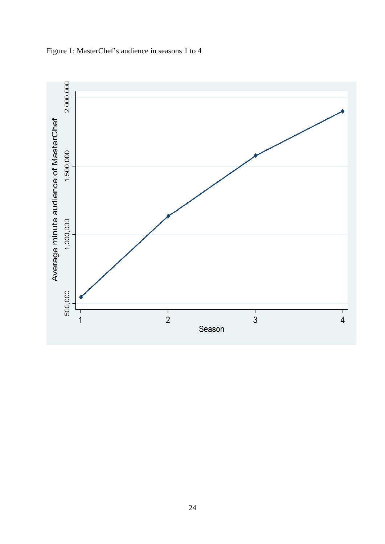

### Figure 1: MasterChef's audience in seasons 1 to 4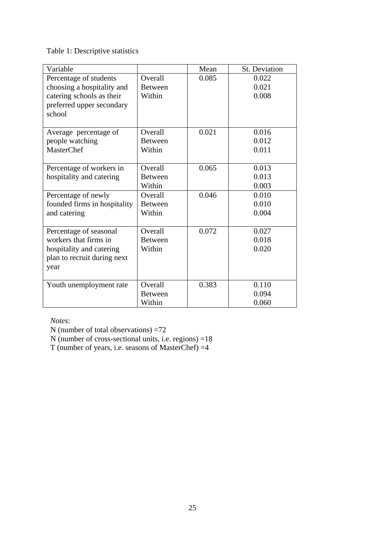Table 1: Descriptive statistics

| Variable                                             |                           | Mean  | St. Deviation  |
|------------------------------------------------------|---------------------------|-------|----------------|
| Percentage of students<br>choosing a hospitality and | Overall<br><b>Between</b> | 0.085 | 0.022<br>0.021 |
| catering schools as their                            | Within                    |       | 0.008          |
| preferred upper secondary<br>school                  |                           |       |                |
| Average percentage of                                | Overall                   | 0.021 | 0.016          |
| people watching                                      | <b>Between</b>            |       | 0.012          |
| <b>MasterChef</b>                                    | Within                    |       | 0.011          |
| Percentage of workers in                             | Overall                   | 0.065 | 0.013          |
| hospitality and catering                             | <b>Between</b>            |       | 0.013          |
|                                                      | Within                    |       | 0.003          |
| Percentage of newly                                  | Overall                   | 0.046 | 0.010          |
| founded firms in hospitality                         | <b>Between</b>            |       | 0.010          |
| and catering                                         | Within                    |       | 0.004          |
| Percentage of seasonal                               | Overall                   | 0.072 | 0.027          |
| workers that firms in                                | <b>Between</b>            |       | 0.018          |
| hospitality and catering                             | Within                    |       | 0.020          |
| plan to recruit during next                          |                           |       |                |
| year                                                 |                           |       |                |
|                                                      |                           |       |                |
| Youth unemployment rate                              | Overall                   | 0.383 | 0.110          |
|                                                      | <b>Between</b>            |       | 0.094          |
|                                                      | Within                    |       | 0.060          |

 *Notes:* 

N (number of total observations) =72

N (number of cross-sectional units, i.e. regions) =18

T (number of years, i.e. seasons of MasterChef) =4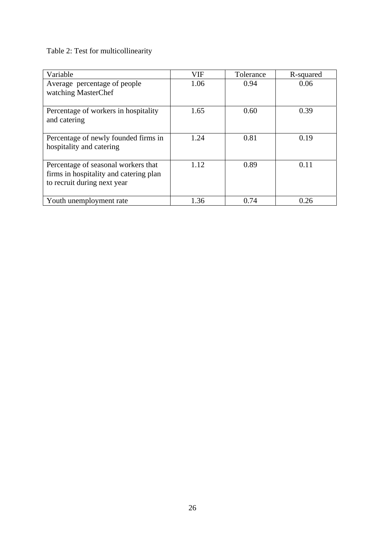# Table 2: Test for multicollinearity

| Variable                                                                                                     | VIF  | Tolerance | R-squared |
|--------------------------------------------------------------------------------------------------------------|------|-----------|-----------|
| Average percentage of people<br>watching MasterChef                                                          | 1.06 | 0.94      | 0.06      |
| Percentage of workers in hospitality<br>and catering                                                         | 1.65 | 0.60      | 0.39      |
| Percentage of newly founded firms in<br>hospitality and catering                                             | 1.24 | 0.81      | 0.19      |
| Percentage of seasonal workers that<br>firms in hospitality and catering plan<br>to recruit during next year | 1.12 | 0.89      | 0.11      |
| Youth unemployment rate                                                                                      | 1.36 | 0.74      | 0.26      |